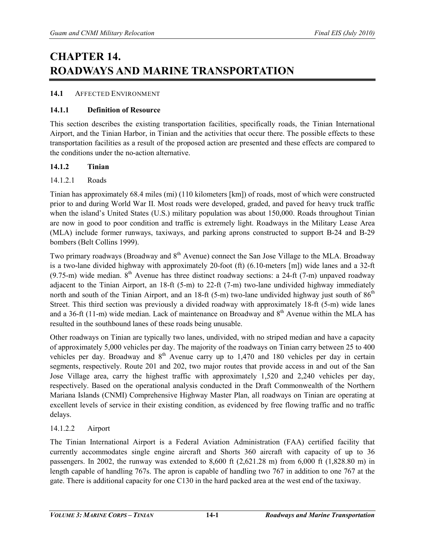# **CHAPTER 14. ROADWAYS AND MARINE TRANSPORTATION**

# **14.1** AFFECTED ENVIRONMENT

# **14.1.1 Definition of Resource**

This section describes the existing transportation facilities, specifically roads, the Tinian International Airport, and the Tinian Harbor, in Tinian and the activities that occur there. The possible effects to these transportation facilities as a result of the proposed action are presented and these effects are compared to the conditions under the no-action alternative.

# **14.1.2 Tinian**

# 14.1.2.1 Roads

Tinian has approximately 68.4 miles (mi) (110 kilometers [km]) of roads, most of which were constructed prior to and during World War II. Most roads were developed, graded, and paved for heavy truck traffic when the island's United States (U.S.) military population was about 150,000. Roads throughout Tinian are now in good to poor condition and traffic is extremely light. Roadways in the Military Lease Area (MLA) include former runways, taxiways, and parking aprons constructed to support B-24 and B-29 bombers (Belt Collins 1999).

Two primary roadways (Broadway and 8<sup>th</sup> Avenue) connect the San Jose Village to the MLA. Broadway is a two-lane divided highway with approximately 20-foot (ft) (6.10-meters [m]) wide lanes and a 32-ft  $(9.75 \text{-} \text{m})$  wide median.  $8^{\text{th}}$  Avenue has three distinct roadway sections: a 24-ft (7-m) unpaved roadway adjacent to the Tinian Airport, an 18-ft (5-m) to 22-ft (7-m) two-lane undivided highway immediately north and south of the Tinian Airport, and an 18-ft (5-m) two-lane undivided highway just south of 86<sup>th</sup> Street. This third section was previously a divided roadway with approximately 18-ft (5-m) wide lanes and a 36-ft (11-m) wide median. Lack of maintenance on Broadway and  $8<sup>th</sup>$  Avenue within the MLA has resulted in the southbound lanes of these roads being unusable.

Other roadways on Tinian are typically two lanes, undivided, with no striped median and have a capacity of approximately 5,000 vehicles per day. The majority of the roadways on Tinian carry between 25 to 400 vehicles per day. Broadway and  $8<sup>th</sup>$  Avenue carry up to 1,470 and 180 vehicles per day in certain segments, respectively. Route 201 and 202, two major routes that provide access in and out of the San Jose Village area, carry the highest traffic with approximately 1,520 and 2,240 vehicles per day, respectively. Based on the operational analysis conducted in the Draft Commonwealth of the Northern Mariana Islands (CNMI) Comprehensive Highway Master Plan, all roadways on Tinian are operating at excellent levels of service in their existing condition, as evidenced by free flowing traffic and no traffic delays.

# 14.1.2.2 Airport

The Tinian International Airport is a Federal Aviation Administration (FAA) certified facility that currently accommodates single engine aircraft and Shorts 360 aircraft with capacity of up to 36 passengers. In 2002, the runway was extended to 8,600 ft (2,621.28 m) from 6,000 ft (1,828.80 m) in length capable of handling 767s. The apron is capable of handling two 767 in addition to one 767 at the gate. There is additional capacity for one C130 in the hard packed area at the west end of the taxiway.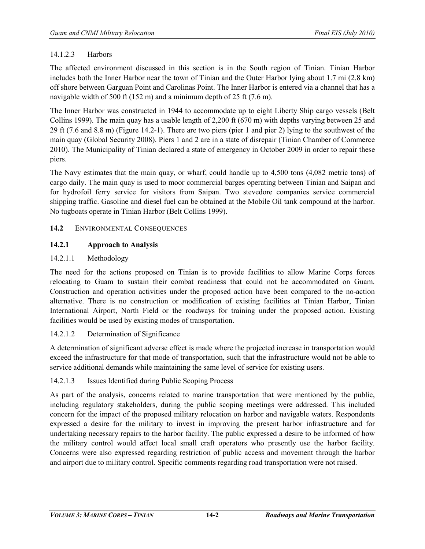# 14.1.2.3 Harbors

The affected environment discussed in this section is in the South region of Tinian. Tinian Harbor includes both the Inner Harbor near the town of Tinian and the Outer Harbor lying about 1.7 mi (2.8 km) off shore between Garguan Point and Carolinas Point. The Inner Harbor is entered via a channel that has a navigable width of 500 ft (152 m) and a minimum depth of 25 ft (7.6 m).

The Inner Harbor was constructed in 1944 to accommodate up to eight Liberty Ship cargo vessels (Belt Collins 1999). The main quay has a usable length of 2,200 ft (670 m) with depths varying between 25 and 29 ft (7.6 and 8.8 m) (Figure 14.2-1). There are two piers (pier 1 and pier 2) lying to the southwest of the main quay (Global Security 2008). Piers 1 and 2 are in a state of disrepair (Tinian Chamber of Commerce 2010). The Municipality of Tinian declared a state of emergency in October 2009 in order to repair these piers.

The Navy estimates that the main quay, or wharf, could handle up to 4,500 tons (4,082 metric tons) of cargo daily. The main quay is used to moor commercial barges operating between Tinian and Saipan and for hydrofoil ferry service for visitors from Saipan. Two stevedore companies service commercial shipping traffic. Gasoline and diesel fuel can be obtained at the Mobile Oil tank compound at the harbor. No tugboats operate in Tinian Harbor (Belt Collins 1999).

# **14.2** ENVIRONMENTAL CONSEQUENCES

# **14.2.1 Approach to Analysis**

# 14.2.1.1 Methodology

The need for the actions proposed on Tinian is to provide facilities to allow Marine Corps forces relocating to Guam to sustain their combat readiness that could not be accommodated on Guam. Construction and operation activities under the proposed action have been compared to the no-action alternative. There is no construction or modification of existing facilities at Tinian Harbor, Tinian International Airport, North Field or the roadways for training under the proposed action. Existing facilities would be used by existing modes of transportation.

# 14.2.1.2 Determination of Significance

A determination of significant adverse effect is made where the projected increase in transportation would exceed the infrastructure for that mode of transportation, such that the infrastructure would not be able to service additional demands while maintaining the same level of service for existing users.

# 14.2.1.3 Issues Identified during Public Scoping Process

As part of the analysis, concerns related to marine transportation that were mentioned by the public, including regulatory stakeholders, during the public scoping meetings were addressed. This included concern for the impact of the proposed military relocation on harbor and navigable waters. Respondents expressed a desire for the military to invest in improving the present harbor infrastructure and for undertaking necessary repairs to the harbor facility. The public expressed a desire to be informed of how the military control would affect local small craft operators who presently use the harbor facility. Concerns were also expressed regarding restriction of public access and movement through the harbor and airport due to military control. Specific comments regarding road transportation were not raised.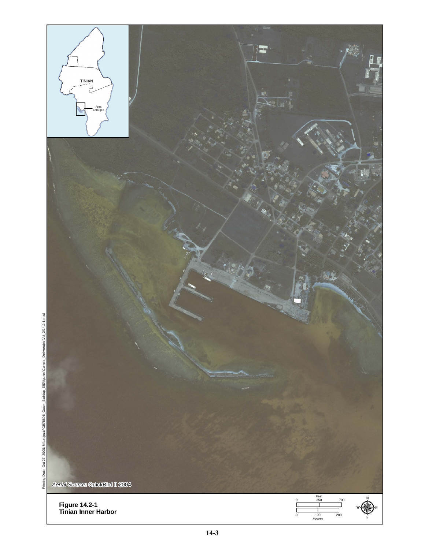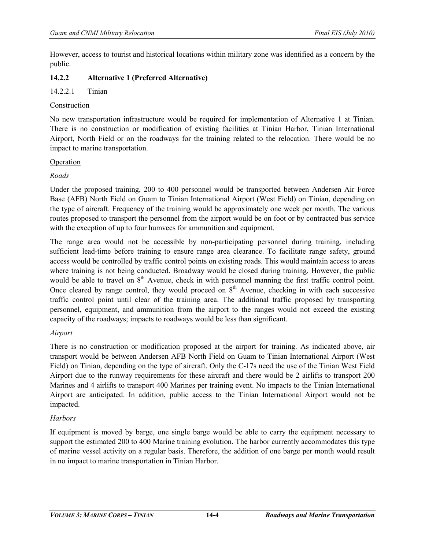However, access to tourist and historical locations within military zone was identified as a concern by the public.

# **14.2.2 Alternative 1 (Preferred Alternative)**

# 14.2.2.1 Tinian

#### Construction

No new transportation infrastructure would be required for implementation of Alternative 1 at Tinian. There is no construction or modification of existing facilities at Tinian Harbor, Tinian International Airport, North Field or on the roadways for the training related to the relocation. There would be no impact to marine transportation.

#### Operation

# *Roads*

Under the proposed training, 200 to 400 personnel would be transported between Andersen Air Force Base (AFB) North Field on Guam to Tinian International Airport (West Field) on Tinian, depending on the type of aircraft. Frequency of the training would be approximately one week per month. The various routes proposed to transport the personnel from the airport would be on foot or by contracted bus service with the exception of up to four humvees for ammunition and equipment.

The range area would not be accessible by non-participating personnel during training, including sufficient lead-time before training to ensure range area clearance. To facilitate range safety, ground access would be controlled by traffic control points on existing roads. This would maintain access to areas where training is not being conducted. Broadway would be closed during training. However, the public would be able to travel on  $8<sup>th</sup>$  Avenue, check in with personnel manning the first traffic control point. Once cleared by range control, they would proceed on  $8<sup>th</sup>$  Avenue, checking in with each successive traffic control point until clear of the training area. The additional traffic proposed by transporting personnel, equipment, and ammunition from the airport to the ranges would not exceed the existing capacity of the roadways; impacts to roadways would be less than significant.

# *Airport*

There is no construction or modification proposed at the airport for training. As indicated above, air transport would be between Andersen AFB North Field on Guam to Tinian International Airport (West Field) on Tinian, depending on the type of aircraft. Only the C-17s need the use of the Tinian West Field Airport due to the runway requirements for these aircraft and there would be 2 airlifts to transport 200 Marines and 4 airlifts to transport 400 Marines per training event. No impacts to the Tinian International Airport are anticipated. In addition, public access to the Tinian International Airport would not be impacted.

# *Harbors*

If equipment is moved by barge, one single barge would be able to carry the equipment necessary to support the estimated 200 to 400 Marine training evolution. The harbor currently accommodates this type of marine vessel activity on a regular basis. Therefore, the addition of one barge per month would result in no impact to marine transportation in Tinian Harbor.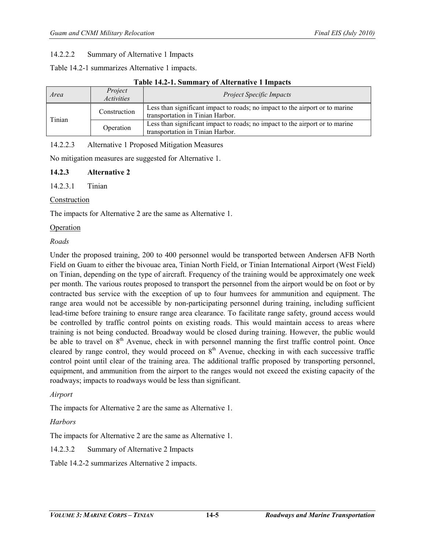#### 14.2.2.2 Summary of Alternative 1 Impacts

Table 14.2-1 summarizes Alternative 1 impacts.

| Area   | Project<br><i>Activities</i> | <b>Project Specific Impacts</b>                                                                                  |  |
|--------|------------------------------|------------------------------------------------------------------------------------------------------------------|--|
| Tinian | Construction                 | Less than significant impact to roads; no impact to the airport or to marine<br>transportation in Tinian Harbor. |  |
|        | Operation                    | Less than significant impact to roads; no impact to the airport or to marine<br>transportation in Tinian Harbor. |  |

#### 14.2.2.3 Alternative 1 Proposed Mitigation Measures

No mitigation measures are suggested for Alternative 1.

#### **14.2.3 Alternative 2**

#### 14.2.3.1 Tinian

#### Construction

The impacts for Alternative 2 are the same as Alternative 1.

#### Operation

#### *Roads*

Under the proposed training, 200 to 400 personnel would be transported between Andersen AFB North Field on Guam to either the bivouac area, Tinian North Field, or Tinian International Airport (West Field) on Tinian, depending on the type of aircraft. Frequency of the training would be approximately one week per month. The various routes proposed to transport the personnel from the airport would be on foot or by contracted bus service with the exception of up to four humvees for ammunition and equipment. The range area would not be accessible by non-participating personnel during training, including sufficient lead-time before training to ensure range area clearance. To facilitate range safety, ground access would be controlled by traffic control points on existing roads. This would maintain access to areas where training is not being conducted. Broadway would be closed during training. However, the public would be able to travel on  $8<sup>th</sup>$  Avenue, check in with personnel manning the first traffic control point. Once cleared by range control, they would proceed on  $8<sup>th</sup>$  Avenue, checking in with each successive traffic control point until clear of the training area. The additional traffic proposed by transporting personnel, equipment, and ammunition from the airport to the ranges would not exceed the existing capacity of the roadways; impacts to roadways would be less than significant.

#### *Airport*

The impacts for Alternative 2 are the same as Alternative 1.

# *Harbors*

The impacts for Alternative 2 are the same as Alternative 1.

# 14.2.3.2 Summary of Alternative 2 Impacts

Table 14.2-2 summarizes Alternative 2 impacts.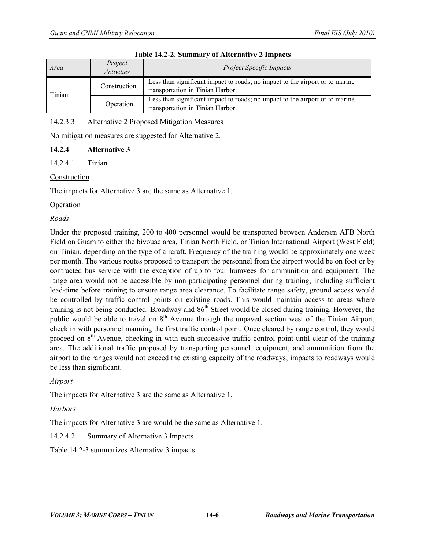| Area   | Project<br><i>Activities</i> | <b>Project Specific Impacts</b>                                                                                  |  |
|--------|------------------------------|------------------------------------------------------------------------------------------------------------------|--|
| Tinian | Construction                 | Less than significant impact to roads; no impact to the airport or to marine<br>transportation in Tinian Harbor. |  |
|        | Operation                    | Less than significant impact to roads; no impact to the airport or to marine<br>transportation in Tinian Harbor. |  |

#### **Table 14.2-2. Summary of Alternative 2 Impacts**

# 14.2.3.3 Alternative 2 Proposed Mitigation Measures

No mitigation measures are suggested for Alternative 2.

# **14.2.4 Alternative 3**

14.2.4.1 Tinian

# Construction

The impacts for Alternative 3 are the same as Alternative 1.

# Operation

# *Roads*

Under the proposed training, 200 to 400 personnel would be transported between Andersen AFB North Field on Guam to either the bivouac area, Tinian North Field, or Tinian International Airport (West Field) on Tinian, depending on the type of aircraft. Frequency of the training would be approximately one week per month. The various routes proposed to transport the personnel from the airport would be on foot or by contracted bus service with the exception of up to four humvees for ammunition and equipment. The range area would not be accessible by non-participating personnel during training, including sufficient lead-time before training to ensure range area clearance. To facilitate range safety, ground access would be controlled by traffic control points on existing roads. This would maintain access to areas where training is not being conducted. Broadway and  $86<sup>th</sup>$  Street would be closed during training. However, the public would be able to travel on  $8<sup>th</sup>$  Avenue through the unpaved section west of the Tinian Airport, check in with personnel manning the first traffic control point. Once cleared by range control, they would proceed on  $8<sup>th</sup>$  Avenue, checking in with each successive traffic control point until clear of the training area. The additional traffic proposed by transporting personnel, equipment, and ammunition from the airport to the ranges would not exceed the existing capacity of the roadways; impacts to roadways would be less than significant.

# *Airport*

The impacts for Alternative 3 are the same as Alternative 1.

# *Harbors*

The impacts for Alternative 3 are would be the same as Alternative 1.

# 14.2.4.2 Summary of Alternative 3 Impacts

Table 14.2-3 summarizes Alternative 3 impacts.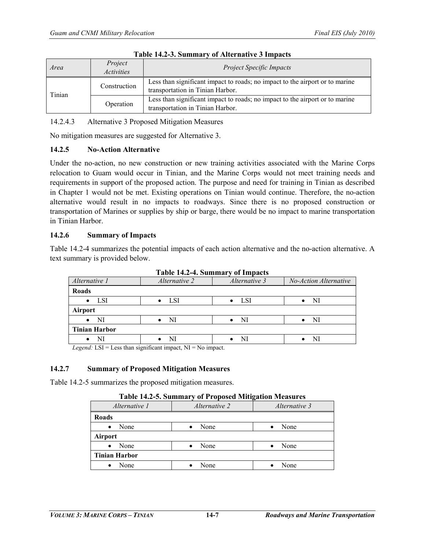| Area   | Project<br><i>Activities</i> | <b>Project Specific Impacts</b>                                                                                  |  |
|--------|------------------------------|------------------------------------------------------------------------------------------------------------------|--|
| Tinian | Construction                 | Less than significant impact to roads; no impact to the airport or to marine<br>transportation in Tinian Harbor. |  |
|        | Operation                    | Less than significant impact to roads; no impact to the airport or to marine<br>transportation in Tinian Harbor. |  |

|  |  | Table 14.2-3. Summary of Alternative 3 Impacts |  |
|--|--|------------------------------------------------|--|
|--|--|------------------------------------------------|--|

14.2.4.3 Alternative 3 Proposed Mitigation Measures

No mitigation measures are suggested for Alternative 3.

# **14.2.5 No-Action Alternative**

Under the no-action, no new construction or new training activities associated with the Marine Corps relocation to Guam would occur in Tinian, and the Marine Corps would not meet training needs and requirements in support of the proposed action. The purpose and need for training in Tinian as described in Chapter 1 would not be met. Existing operations on Tinian would continue. Therefore, the no-action alternative would result in no impacts to roadways. Since there is no proposed construction or transportation of Marines or supplies by ship or barge, there would be no impact to marine transportation in Tinian Harbor.

# **14.2.6 Summary of Impacts**

Table 14.2-4 summarizes the potential impacts of each action alternative and the no-action alternative. A text summary is provided below.

| Alternative 1        | Alternative 2 | Alternative 3 | No-Action Alternative |
|----------------------|---------------|---------------|-----------------------|
| Roads                |               |               |                       |
| <b>LSI</b>           | LSI           | LSI           | NI                    |
| <b>Airport</b>       |               |               |                       |
| NI                   | NI            | NI            | NI                    |
| <b>Tinian Harbor</b> |               |               |                       |
|                      |               | NI            |                       |

**Table 14.2-4. Summary of Impacts** 

*Legend:*  $LSI = Less than significant impact, NI = No impact.$ 

# **14.2.7 Summary of Proposed Mitigation Measures**

Table 14.2-5 summarizes the proposed mitigation measures.

| Alternative 1        | Alternative 2 | Alternative 3 |
|----------------------|---------------|---------------|
| <b>Roads</b>         |               |               |
| None<br>$\bullet$    | None          | None          |
| <b>Airport</b>       |               |               |
| None<br>$\bullet$    | None          | None          |
| <b>Tinian Harbor</b> |               |               |
| None                 | None          | None          |